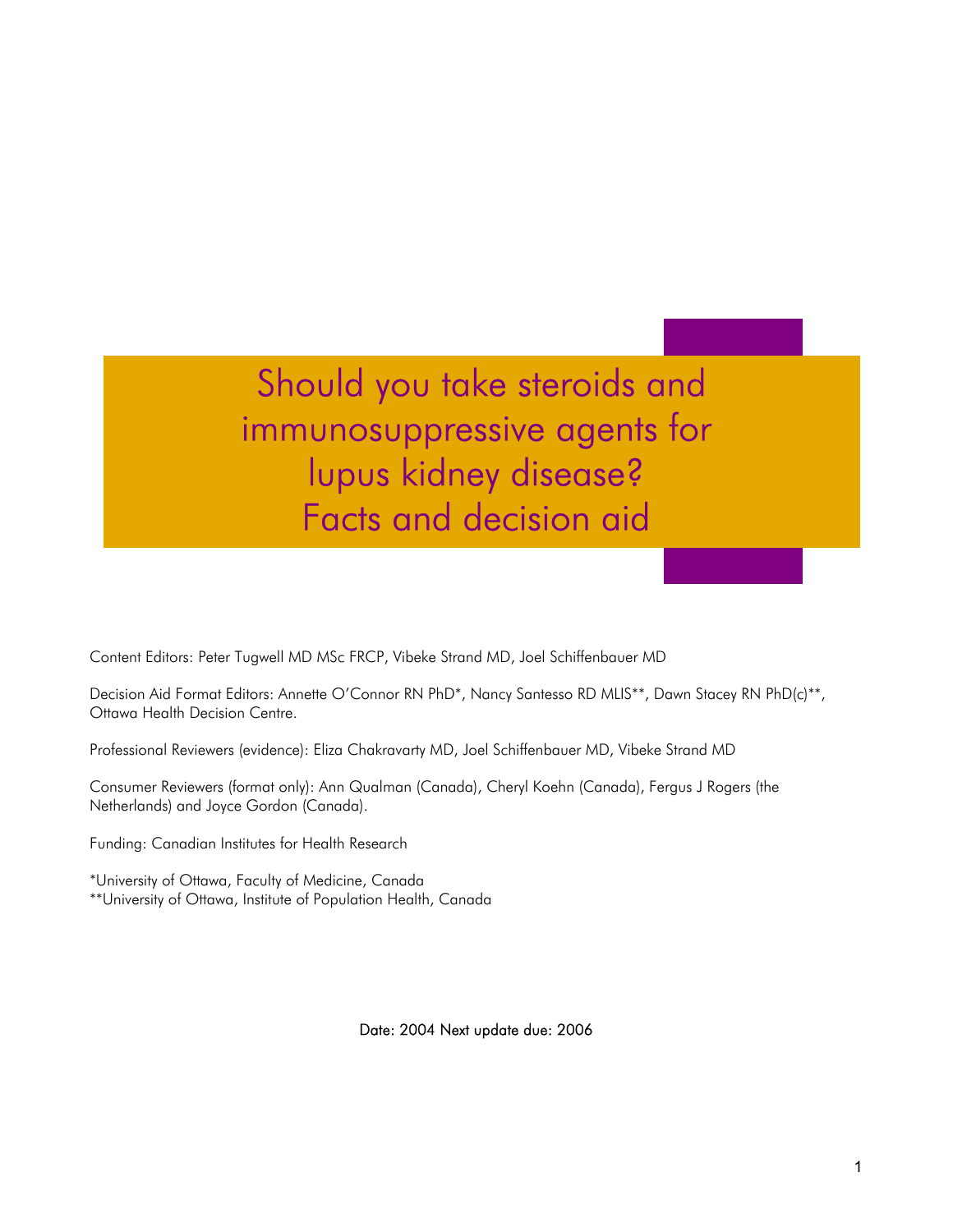Should you take steroids and immunosuppressive agents for lupus kidney disease? Facts and decision aid

Content Editors: Peter Tugwell MD MSc FRCP, Vibeke Strand MD, Joel Schiffenbauer MD

Decision Aid Format Editors: Annette O'Connor RN PhD<sup>\*</sup>, Nancy Santesso RD MLIS<sup>\*\*</sup>, Dawn Stacey RN PhD(c)<sup>\*\*</sup>, Ottawa Health Decision Centre.

Professional Reviewers (evidence): Eliza Chakravarty MD, Joel Schiffenbauer MD, Vibeke Strand MD

Consumer Reviewers (format only): Ann Qualman (Canada), Cheryl Koehn (Canada), Fergus J Rogers (the Netherlands) and Joyce Gordon (Canada).

Funding: Canadian Institutes for Health Research

\*University of Ottawa, Faculty of Medicine, Canada \*\*University of Ottawa, Institute of Population Health, Canada

Date: 2004 Next update due: 2006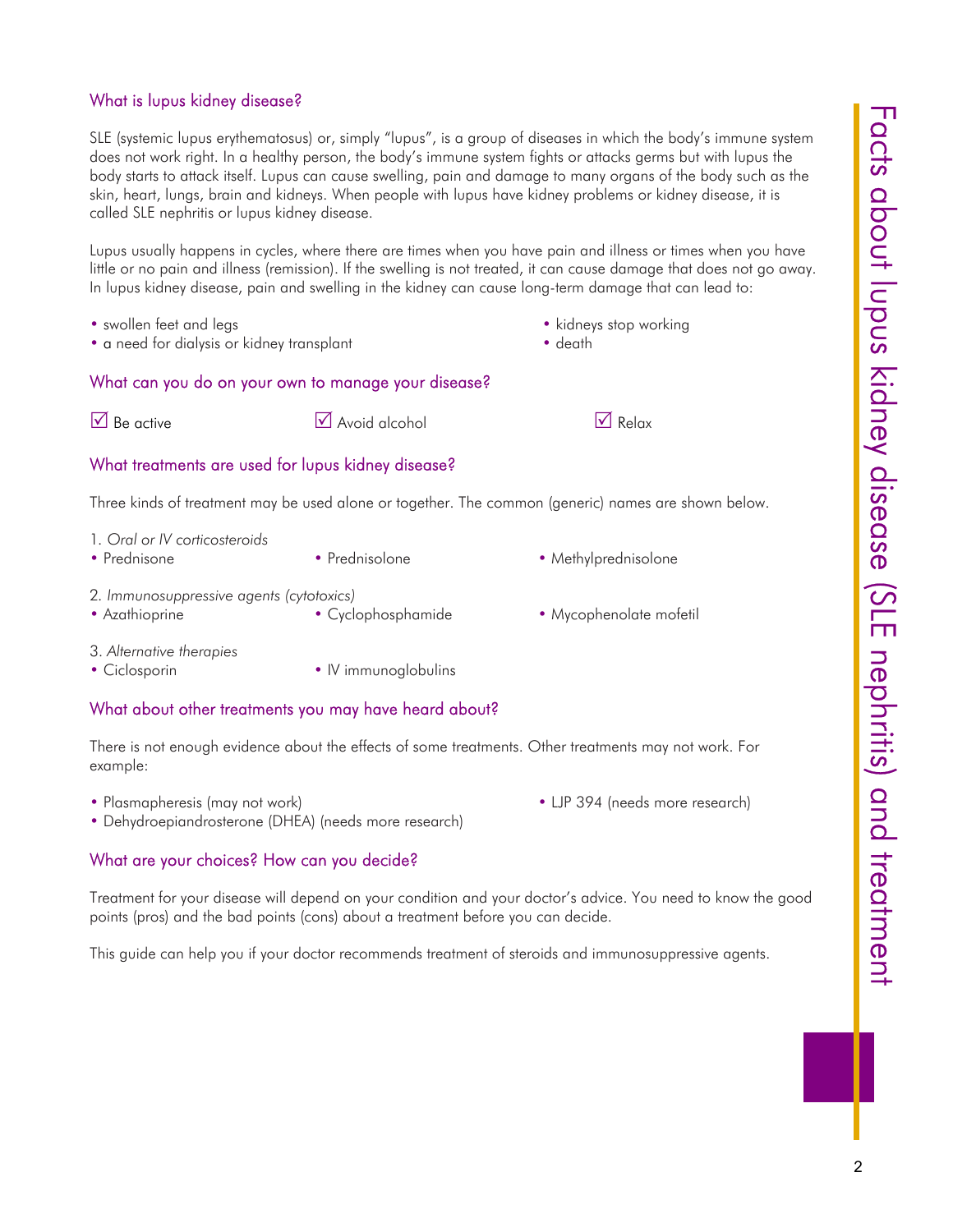## What is lupus kidney disease?

SLE (systemic lupus erythematosus) or, simply "lupus", is a group of diseases in which the body's immune system does not work right. In a healthy person, the body's immune system fights or attacks germs but with lupus the body starts to attack itself. Lupus can cause swelling, pain and damage to many organs of the body such as the skin, heart, lungs, brain and kidneys. When people with lupus have kidney problems or kidney disease, it is called SLE nephritis or lupus kidney disease.

Lupus usually happens in cycles, where there are times when you have pain and illness or times when you have little or no pain and illness (remission). If the swelling is not treated, it can cause damage that does not go away. In lupus kidney disease, pain and swelling in the kidney can cause long-term damage that can lead to:

- 
- a need for dialysis or kidney transplant death death
- swollen feet and legs kidneys stop working
	-

#### What can you do on your own to manage your disease?

 $\triangledown$  Be active  $\triangledown$  Avoid alcohol  $\triangledown$  Relax



### What treatments are used for lupus kidney disease?

Three kinds of treatment may be used alone or together. The common (generic) names are shown below.

- 1*. Oral or IV corticosteroids*
- Prednisone Prednisolone Prednisolone Methylprednisolone
- 2*. Immunosuppressive agents (cytotoxics)*
- Azathioprine Cyclophosphamide • Mycophenolate mofetil
- 

- 3. *Alternative therapies*
- Ciclosporin IV immunoglobulins

### What about other treatments you may have heard about?

There is not enough evidence about the effects of some treatments. Other treatments may not work. For example:

- Plasmapheresis (may not work) LJP 394 (needs more research)
	-
- Dehydroepiandrosterone (DHEA) (needs more research)

## What are your choices? How can you decide?

Treatment for your disease will depend on your condition and your doctor's advice. You need to know the good points (pros) and the bad points (cons) about a treatment before you can decide.

This guide can help you if your doctor recommends treatment of steroids and immunosuppressive agents.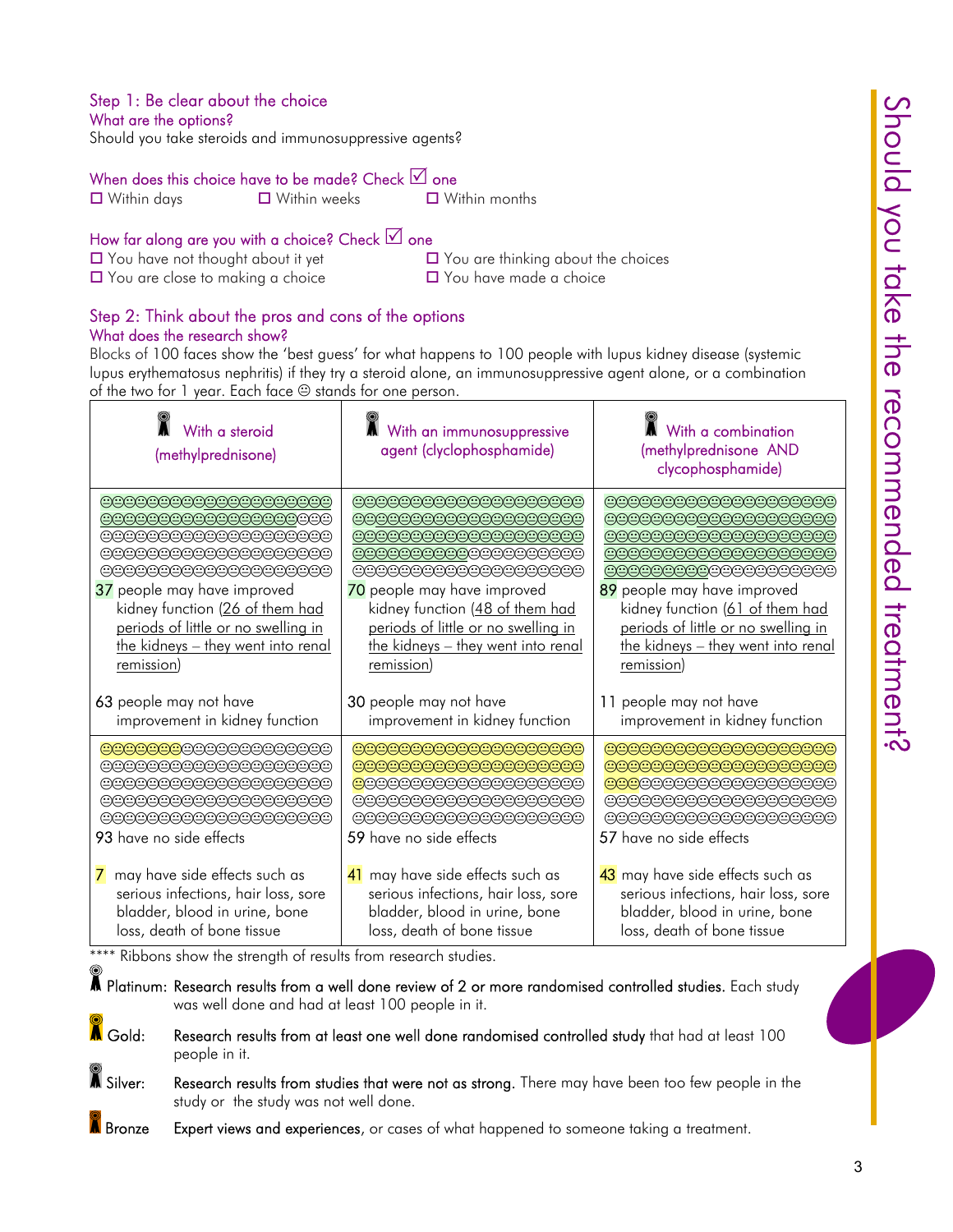## Step 1: Be clear about the choice

What are the options?

Should you take steroids and immunosuppressive agents?

### When does this choice have to be made? Check  $\boxtimes$  one

 $\Box$  Within days  $\Box$  Within weeks  $\Box$  Within months

## How far along are you with a choice? Check  $\Box$  one

- $\Box$  You are close to making a choice  $\Box$  You have made a choice
- $\Box$  You have not thought about it yet  $\Box$  You are thinking about the choices

## Step 2: Think about the pros and cons of the options What does the research show?

Blocks of 100 faces show the 'best guess' for what happens to 100 people with lupus kidney disease (systemic lupus erythematosus nephritis) if they try a steroid alone, an immunosuppressive agent alone, or a combination of the two for 1 year. Each face  $\oplus$  stands for one person.

| With a steroid<br>(methylprednisone)                                                                                                      | With an immunosuppressive<br>agent (clyclophosphamide)                                                                                 | With a combination<br>(methylprednisone AND<br>clycophosphamide)                                                                       |
|-------------------------------------------------------------------------------------------------------------------------------------------|----------------------------------------------------------------------------------------------------------------------------------------|----------------------------------------------------------------------------------------------------------------------------------------|
| 000000000000000000                                                                                                                        | 000000000000000000                                                                                                                     | 000000000000000000                                                                                                                     |
| 000000000000000000                                                                                                                        | 000000000000000000                                                                                                                     | 000000000000000000                                                                                                                     |
| 000000000000000000                                                                                                                        | 000000000000000000                                                                                                                     | 000000000000000000                                                                                                                     |
| 000000000000000000                                                                                                                        | 000000000000000000                                                                                                                     | 000000000000000000                                                                                                                     |
| @@@@@@@@@@@@@@@@@                                                                                                                         | 0000000000000000000                                                                                                                    | 000000000000000000                                                                                                                     |
| 37 people may have improved                                                                                                               | 70 people may have improved                                                                                                            | 89 people may have improved                                                                                                            |
| kidney function (26 of them had                                                                                                           | kidney function (48 of them had                                                                                                        | kidney function (61 of them had                                                                                                        |
| periods of little or no swelling in                                                                                                       | periods of little or no swelling in                                                                                                    | periods of little or no swelling in                                                                                                    |
| the kidneys - they went into renal                                                                                                        | the kidneys - they went into renal                                                                                                     | the kidneys - they went into renal                                                                                                     |
| remission)                                                                                                                                | remission)                                                                                                                             | remission)                                                                                                                             |
| 63 people may not have                                                                                                                    | 30 people may not have                                                                                                                 | 11 people may not have                                                                                                                 |
| improvement in kidney function                                                                                                            | improvement in kidney function                                                                                                         | improvement in kidney function                                                                                                         |
| <del>0000000</del> 00000000000                                                                                                            | 000000000000000000                                                                                                                     | 000000000000000000                                                                                                                     |
| @@@@@@@@@@@@@@@@@                                                                                                                         | 00000000000000000000                                                                                                                   | 00000000000000000000                                                                                                                   |
| @@@@@@@@@@@@@@@@@                                                                                                                         | <b>@</b> @@@@@@@@@@@@@@@@                                                                                                              | <b>@@@</b> @@@@@@@@@@@@@@                                                                                                              |
| 000000000000000000                                                                                                                        | 000000000000000000                                                                                                                     | 000000000000000000                                                                                                                     |
| 000000000000000000                                                                                                                        | 000000000000000000                                                                                                                     | 000000000000000000                                                                                                                     |
| <b>93</b> have no side effects                                                                                                            | 59 have no side effects                                                                                                                | 57 have no side effects                                                                                                                |
| may have side effects such as<br>7.<br>serious infections, hair loss, sore<br>bladder, blood in urine, bone<br>loss, death of bone tissue | 41 may have side effects such as<br>serious infections, hair loss, sore<br>bladder, blood in urine, bone<br>loss, death of bone tissue | 43 may have side effects such as<br>serious infections, hair loss, sore<br>bladder, blood in urine, bone<br>loss, death of bone tissue |

\*\*\*\* Ribbons show the strength of results from research studies.

 $\spadesuit$  Platinum: Research results from a well done review of 2 or more randomised controlled studies. Each study was well done and had at least 100 people in it.

- A Gold: Research results from at least one well done randomised controlled study that had at least 100 people in it.
- $\blacksquare$  Silver: Research results from studies that were not as strong. There may have been too few people in the study or the study was not well done.
- Bronze Expert views and experiences, or cases of what happened to someone taking a treatment.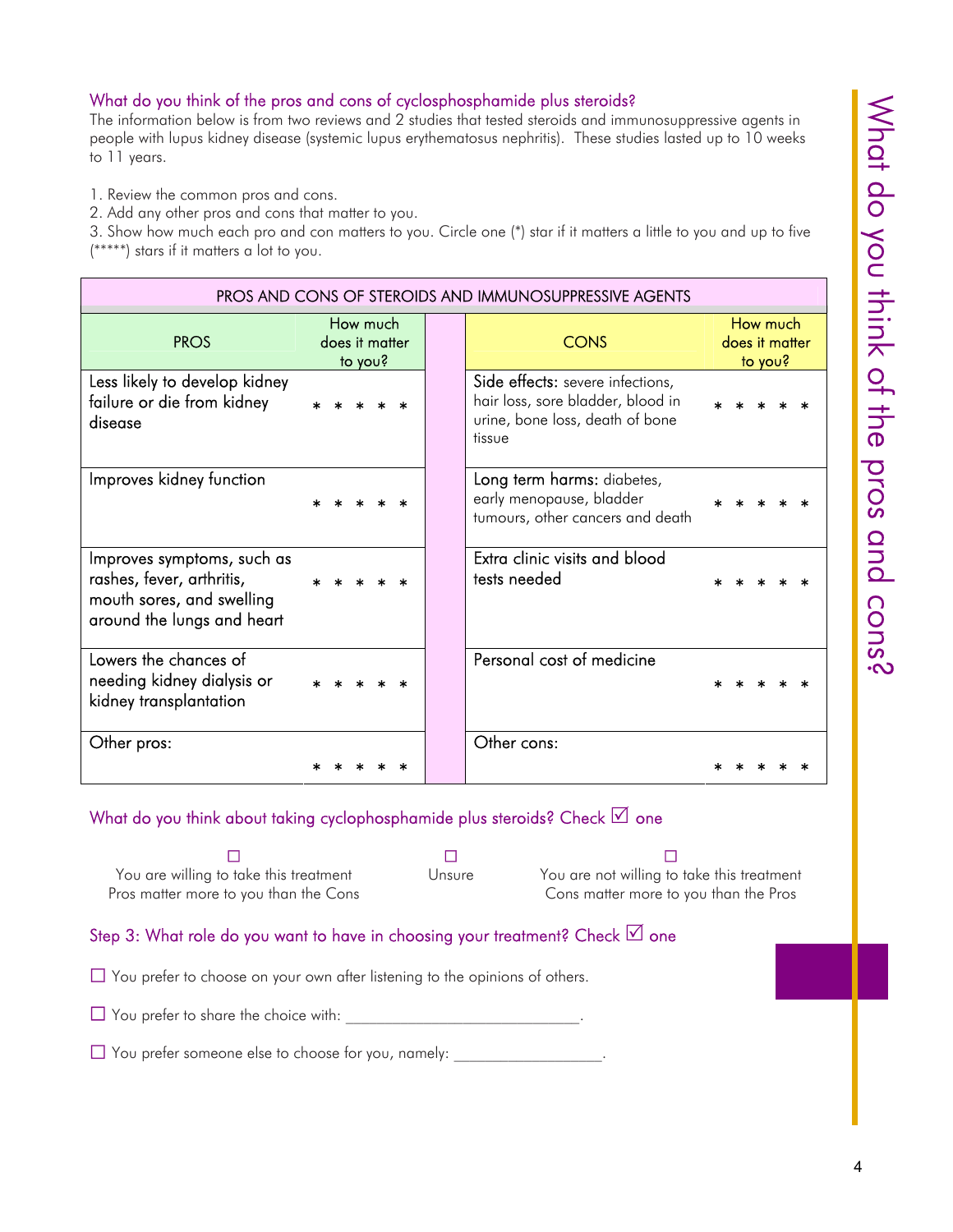#### What do you think of the pros and cons of cyclosphosphamide plus steroids?

The information below is from two reviews and 2 studies that tested steroids and immunosuppressive agents in people with lupus kidney disease (systemic lupus erythematosus nephritis). These studies lasted up to 10 weeks to 11 years.

1. Review the common pros and cons.

2. Add any other pros and cons that matter to you.

3. Show how much each pro and con matters to you. Circle one (\*) star if it matters a little to you and up to five (\*\*\*\*\*) stars if it matters a lot to you.

| PROS AND CONS OF STEROIDS AND IMMUNOSUPPRESSIVE AGENTS                                                             |                                       |  |                                                                                                                    |  |                            |         |  |  |
|--------------------------------------------------------------------------------------------------------------------|---------------------------------------|--|--------------------------------------------------------------------------------------------------------------------|--|----------------------------|---------|--|--|
| <b>PROS</b>                                                                                                        | How much<br>does it matter<br>to you? |  | <b>CONS</b>                                                                                                        |  | How much<br>does it matter | to you? |  |  |
| Less likely to develop kidney<br>failure or die from kidney<br>disease                                             |                                       |  | Side effects: severe infections,<br>hair loss, sore bladder, blood in<br>urine, bone loss, death of bone<br>tissue |  |                            |         |  |  |
| Improves kidney function                                                                                           |                                       |  | Long term harms: diabetes,<br>early menopause, bladder<br>tumours, other cancers and death                         |  |                            |         |  |  |
| Improves symptoms, such as<br>rashes, fever, arthritis,<br>mouth sores, and swelling<br>around the lungs and heart |                                       |  | Extra clinic visits and blood<br>tests needed                                                                      |  |                            |         |  |  |
| Lowers the chances of<br>needing kidney dialysis or<br>kidney transplantation                                      |                                       |  | Personal cost of medicine                                                                                          |  |                            |         |  |  |
| Other pros:                                                                                                        |                                       |  | Other cons:                                                                                                        |  |                            |         |  |  |

#### What do you think about taking cyclophosphamide plus steroids? Check  $\boxtimes$  one

 $\blacksquare$  . The contract of  $\blacksquare$  . The contract of  $\blacksquare$ You are willing to take this treatment Pros matter more to you than the Cons

Unsure You are not willing to take this treatment Cons matter more to you than the Pros

Step 3: What role do you want to have in choosing your treatment? Check  $\Box$  one

 $\Box$  You prefer to choose on your own after listening to the opinions of others.

 $\Box$  You prefer to share the choice with:

 $\Box$  You prefer someone else to choose for you, namely: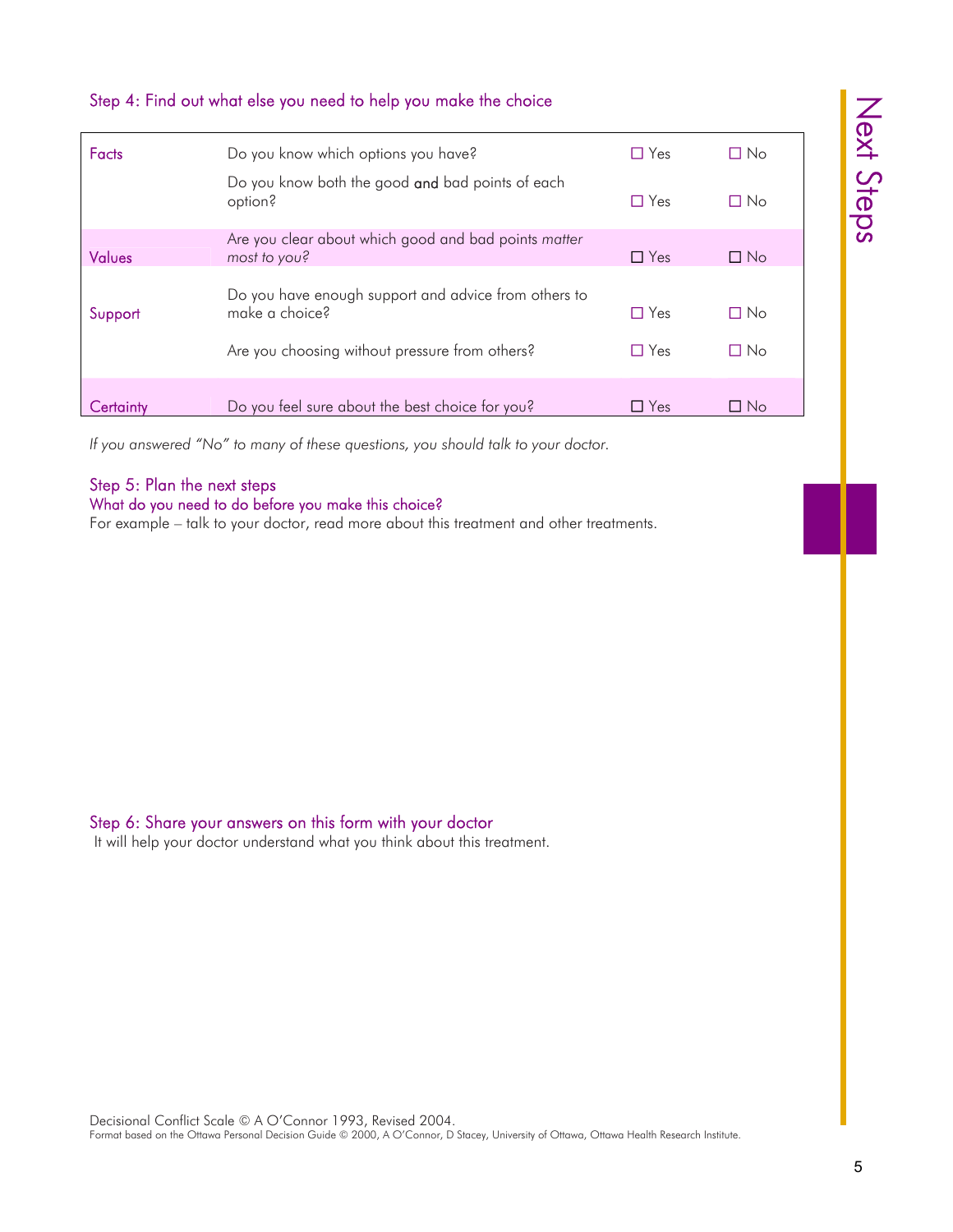| Facts         | Do you know which options you have?                                                                                      | $\Box$ Yes               | $\Box$ No              |
|---------------|--------------------------------------------------------------------------------------------------------------------------|--------------------------|------------------------|
|               | Do you know both the good and bad points of each<br>option?                                                              | $\Box$ Yes               | $\Box$ No              |
|               | Are you clear about which good and bad points matter                                                                     |                          |                        |
| <b>Values</b> | most to you?                                                                                                             | $\Box$ Yes               | $\Box$ No              |
| Support       | Do you have enough support and advice from others to<br>make a choice?<br>Are you choosing without pressure from others? | $\Box$ Yes<br>$\Box$ Yes | $\Box$ No<br>$\Box$ No |
| Certainty     | Do you feel sure about the best choice for you?                                                                          | $\Box$ Yes               | $\Box$ No              |

## Step 4: Find out what else you need to help you make the choice

*If you answered "No" to many of these questions, you should talk to your doctor.*

#### Step 5: Plan the next steps What do you need to do before you make this choice?

For example – talk to your doctor, read more about this treatment and other treatments.

#### Step 6: Share your answers on this form with your doctor

It will help your doctor understand what you think about this treatment.

Next Steps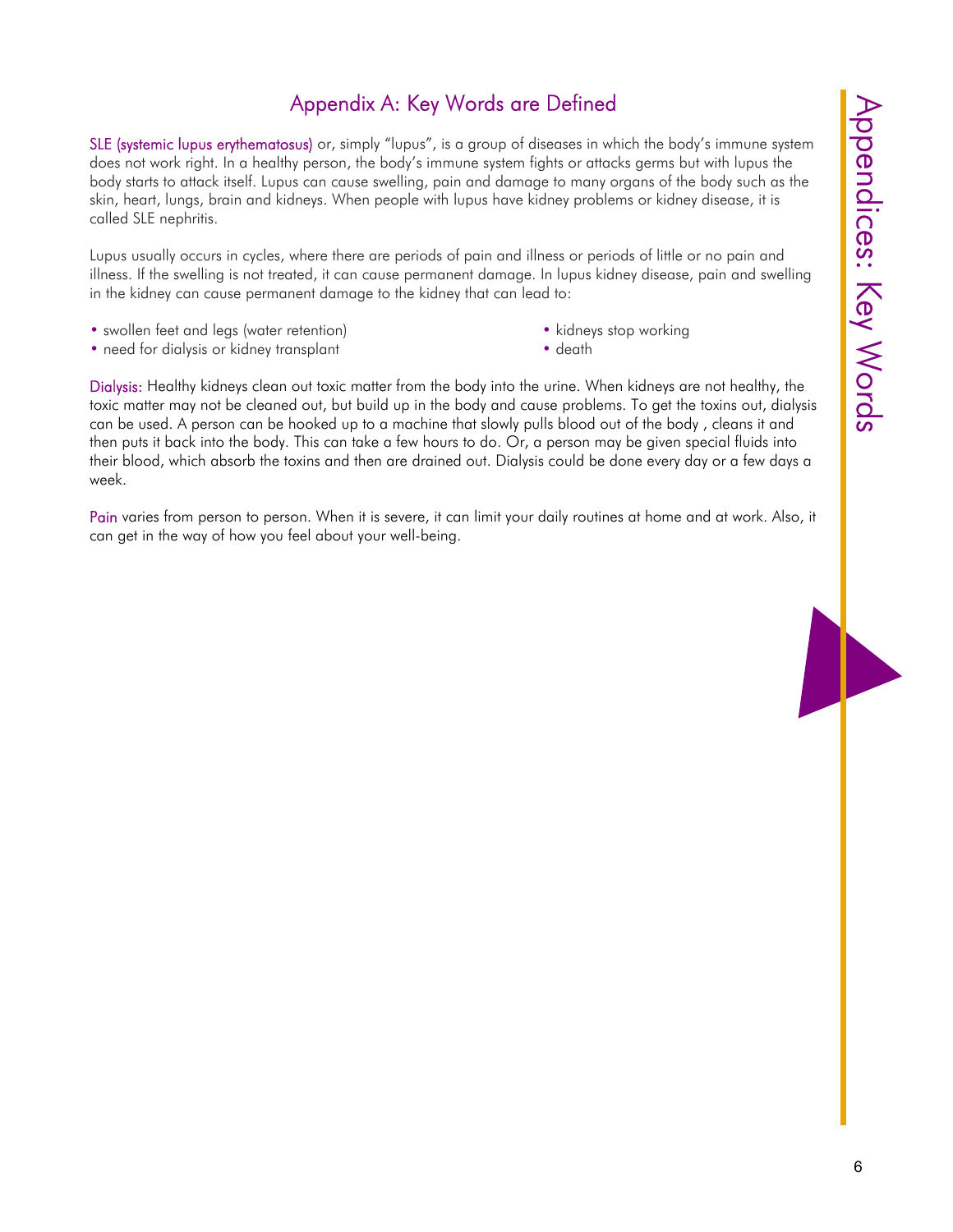# Appendix A: Key Words are Defined

SLE (systemic lupus erythematosus) or, simply "lupus", is a group of diseases in which the body's immune system does not work right. In a healthy person, the body's immune system fights or attacks germs but with lupus the body starts to attack itself. Lupus can cause swelling, pain and damage to many organs of the body such as the skin, heart, lungs, brain and kidneys. When people with lupus have kidney problems or kidney disease, it is called SLE nephritis.

Lupus usually occurs in cycles, where there are periods of pain and illness or periods of little or no pain and illness. If the swelling is not treated, it can cause permanent damage. In lupus kidney disease, pain and swelling in the kidney can cause permanent damage to the kidney that can lead to:

- swollen feet and legs (water retention) kidneys stop working
- need for dialysis or kidney transplant death death
- -

Dialysis: Healthy kidneys clean out toxic matter from the body into the urine. When kidneys are not healthy, the toxic matter may not be cleaned out, but build up in the body and cause problems. To get the toxins out, dialysis can be used. A person can be hooked up to a machine that slowly pulls blood out of the body , cleans it and then puts it back into the body. This can take a few hours to do. Or, a person may be given special fluids into their blood, which absorb the toxins and then are drained out. Dialysis could be done every day or a few days a week.

Pain varies from person to person. When it is severe, it can limit your daily routines at home and at work. Also, it can get in the way of how you feel about your well-being.